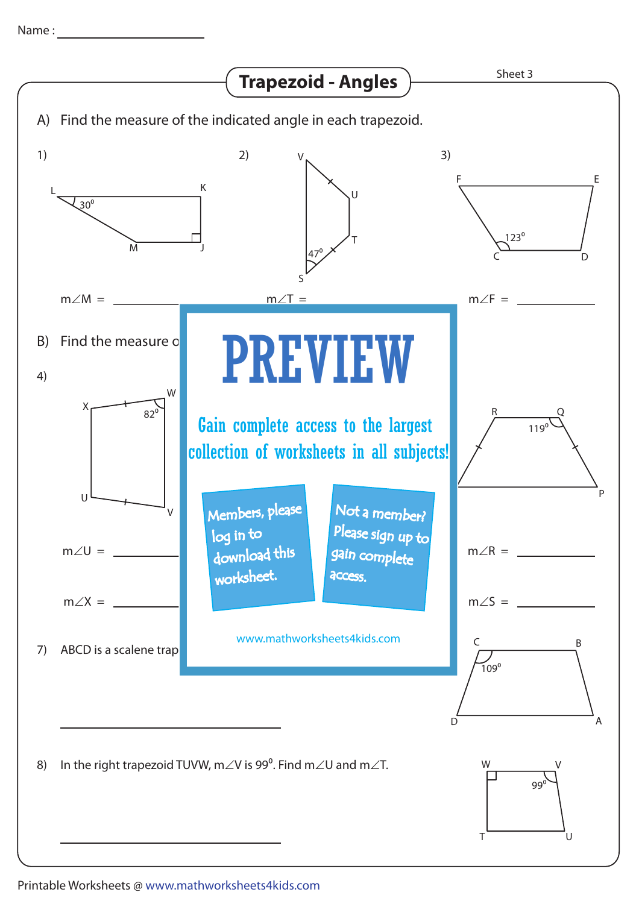